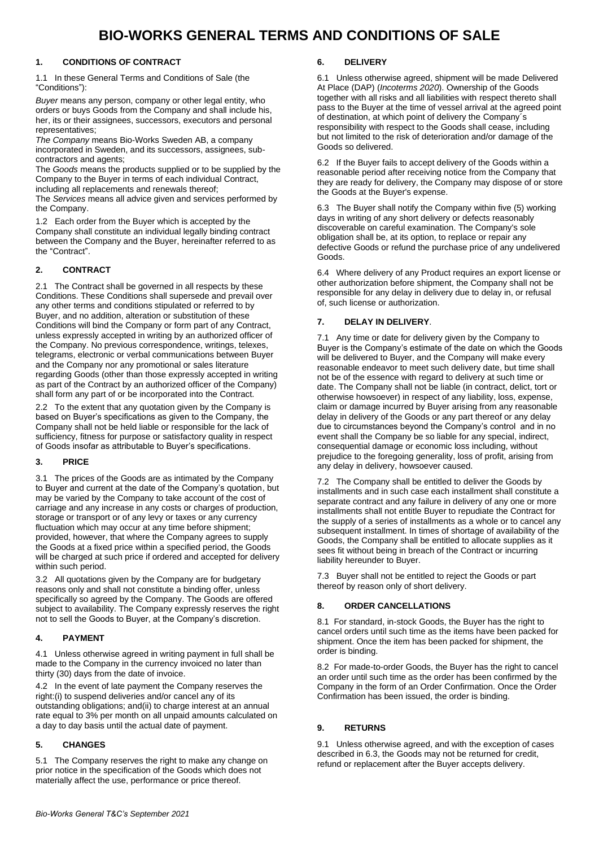# **BIO-WORKS GENERAL TERMS AND CONDITIONS OF SALE**

#### **1. CONDITIONS OF CONTRACT**

1.1 In these General Terms and Conditions of Sale (the "Conditions"):

*Buyer* means any person, company or other legal entity, who orders or buys Goods from the Company and shall include his, her, its or their assignees, successors, executors and personal representatives;

*The Company* means Bio-Works Sweden AB, a company incorporated in Sweden, and its successors, assignees, subcontractors and agents;

The *Goods* means the products supplied or to be supplied by the Company to the Buyer in terms of each individual Contract, including all replacements and renewals thereof;

The *Services* means all advice given and services performed by the Company.

1.2 Each order from the Buyer which is accepted by the Company shall constitute an individual legally binding contract between the Company and the Buyer, hereinafter referred to as the "Contract".

#### **2. CONTRACT**

2.1 The Contract shall be governed in all respects by these Conditions. These Conditions shall supersede and prevail over any other terms and conditions stipulated or referred to by Buyer, and no addition, alteration or substitution of these Conditions will bind the Company or form part of any Contract, unless expressly accepted in writing by an authorized officer of the Company. No previous correspondence, writings, telexes, telegrams, electronic or verbal communications between Buyer and the Company nor any promotional or sales literature regarding Goods (other than those expressly accepted in writing as part of the Contract by an authorized officer of the Company) shall form any part of or be incorporated into the Contract.

2.2 To the extent that any quotation given by the Company is based on Buyer's specifications as given to the Company, the Company shall not be held liable or responsible for the lack of sufficiency, fitness for purpose or satisfactory quality in respect of Goods insofar as attributable to Buyer's specifications.

#### **3. PRICE**

3.1 The prices of the Goods are as intimated by the Company to Buyer and current at the date of the Company's quotation, but may be varied by the Company to take account of the cost of carriage and any increase in any costs or charges of production, storage or transport or of any levy or taxes or any currency fluctuation which may occur at any time before shipment; provided, however, that where the Company agrees to supply the Goods at a fixed price within a specified period, the Goods will be charged at such price if ordered and accepted for delivery within such period.

3.2 All quotations given by the Company are for budgetary reasons only and shall not constitute a binding offer, unless specifically so agreed by the Company. The Goods are offered subject to availability. The Company expressly reserves the right not to sell the Goods to Buyer, at the Company's discretion.

#### **4. PAYMENT**

4.1 Unless otherwise agreed in writing payment in full shall be made to the Company in the currency invoiced no later than thirty (30) days from the date of invoice.

4.2 In the event of late payment the Company reserves the right:(i) to suspend deliveries and/or cancel any of its outstanding obligations; and(ii) to charge interest at an annual rate equal to 3% per month on all unpaid amounts calculated on a day to day basis until the actual date of payment.

#### **5. CHANGES**

5.1 The Company reserves the right to make any change on prior notice in the specification of the Goods which does not materially affect the use, performance or price thereof.

#### **6. DELIVERY**

6.1 Unless otherwise agreed, shipment will be made Delivered At Place (DAP) (*Incoterms 2020*). Ownership of the Goods together with all risks and all liabilities with respect thereto shall pass to the Buyer at the time of vessel arrival at the agreed point of destination, at which point of delivery the Company´s responsibility with respect to the Goods shall cease, including but not limited to the risk of deterioration and/or damage of the Goods so delivered.

6.2 If the Buyer fails to accept delivery of the Goods within a reasonable period after receiving notice from the Company that they are ready for delivery, the Company may dispose of or store the Goods at the Buyer's expense.

6.3 The Buyer shall notify the Company within five (5) working days in writing of any short delivery or defects reasonably discoverable on careful examination. The Company's sole obligation shall be, at its option, to replace or repair any defective Goods or refund the purchase price of any undelivered Goods.

6.4 Where delivery of any Product requires an export license or other authorization before shipment, the Company shall not be responsible for any delay in delivery due to delay in, or refusal of, such license or authorization.

#### **7. DELAY IN DELIVERY**.

7.1 Any time or date for delivery given by the Company to Buyer is the Company's estimate of the date on which the Goods will be delivered to Buyer, and the Company will make every reasonable endeavor to meet such delivery date, but time shall not be of the essence with regard to delivery at such time or date. The Company shall not be liable (in contract, delict, tort or otherwise howsoever) in respect of any liability, loss, expense, claim or damage incurred by Buyer arising from any reasonable delay in delivery of the Goods or any part thereof or any delay due to circumstances beyond the Company's control and in no event shall the Company be so liable for any special, indirect, consequential damage or economic loss including, without prejudice to the foregoing generality, loss of profit, arising from any delay in delivery, howsoever caused.

7.2 The Company shall be entitled to deliver the Goods by installments and in such case each installment shall constitute a separate contract and any failure in delivery of any one or more installments shall not entitle Buyer to repudiate the Contract for the supply of a series of installments as a whole or to cancel any subsequent installment. In times of shortage of availability of the Goods, the Company shall be entitled to allocate supplies as it sees fit without being in breach of the Contract or incurring liability hereunder to Buyer.

7.3 Buyer shall not be entitled to reject the Goods or part thereof by reason only of short delivery.

#### **8. ORDER CANCELLATIONS**

8.1 For standard, in-stock Goods, the Buyer has the right to cancel orders until such time as the items have been packed for shipment. Once the item has been packed for shipment, the order is binding.

8.2 For made-to-order Goods, the Buyer has the right to cancel an order until such time as the order has been confirmed by the Company in the form of an Order Confirmation. Once the Order Confirmation has been issued, the order is binding.

## **9. RETURNS**

9.1 Unless otherwise agreed, and with the exception of cases described in 6.3, the Goods may not be returned for credit, refund or replacement after the Buyer accepts delivery.